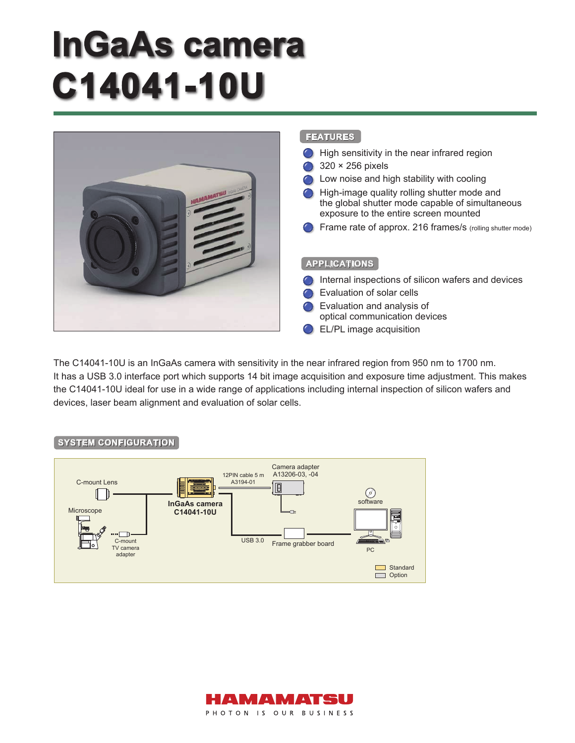# **lnGaAs camera C14041-10U**



The C14041-10U is an InGaAs camera with sensitivity in the near infrared region from 950 nm to 1700 nm. It has a USB 3.0 interface port which supports 14 bit image acquisition and exposure time adjustment. This makes the C14041-10U ideal for use in a wide range of applications including internal inspection of silicon wafers and devices, laser beam alignment and evaluation of solar cells.

#### **SYSTEM CONFIGURATION**